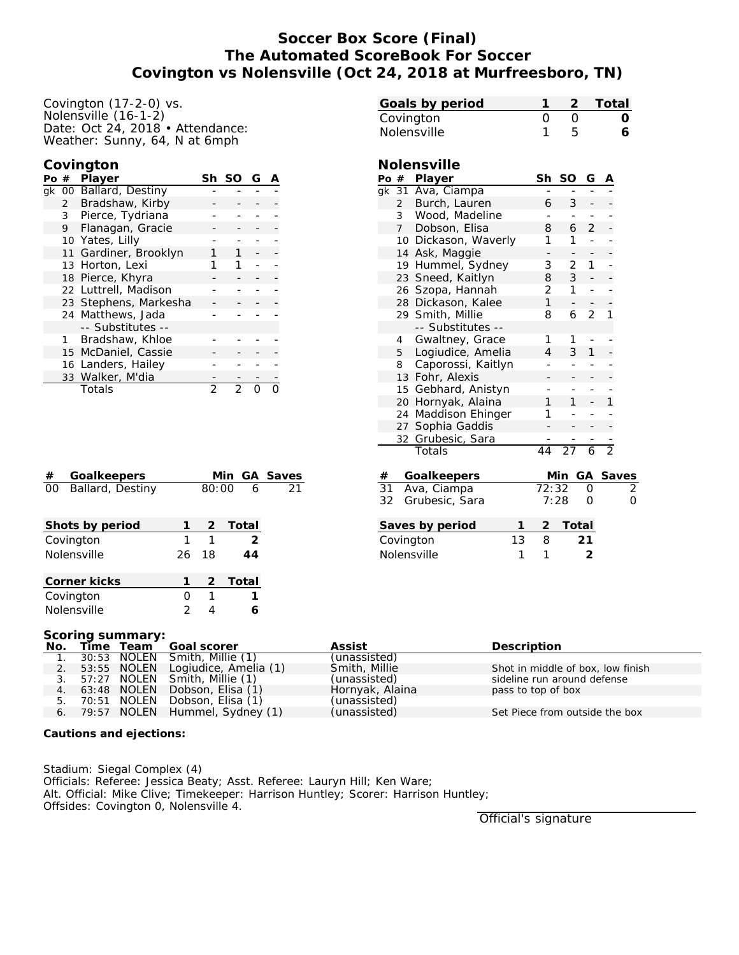# **Soccer Box Score (Final) The Automated ScoreBook For Soccer Covington vs Nolensville (Oct 24, 2018 at Murfreesboro, TN)**

## **Covington**

| Po # |              | Player                 | Sh | SC | G |  |
|------|--------------|------------------------|----|----|---|--|
|      |              | gk 00 Ballard, Destiny |    |    |   |  |
|      | 2            | Bradshaw, Kirby        |    |    |   |  |
|      | 3            | Pierce, Tydriana       |    |    |   |  |
|      | 9            | Flanagan, Gracie       |    |    |   |  |
|      |              | 10 Yates, Lilly        |    |    |   |  |
|      |              | 11 Gardiner, Brooklyn  |    |    |   |  |
|      |              | 13 Horton, Lexi        |    | 1  |   |  |
|      |              | 18 Pierce, Khyra       |    |    |   |  |
|      |              | 22 Luttrell, Madison   |    |    |   |  |
|      |              | 23 Stephens, Markesha  |    |    |   |  |
|      |              | 24 Matthews, Jada      |    |    |   |  |
|      |              | -- Substitutes --      |    |    |   |  |
|      | $\mathbf{1}$ | Bradshaw, Khloe        |    |    |   |  |
|      |              | 15 McDaniel, Cassie    |    |    |   |  |
|      |              | 16 Landers, Hailey     |    |    |   |  |
|      |              | 33 Walker, M'dia       |    |    |   |  |
|      |              | Totals                 |    |    |   |  |

| #  | Goalkeepers      |    |       | Min GA Saves  |    |
|----|------------------|----|-------|---------------|----|
| 00 | Ballard, Destiny |    | 80:00 | -6            | 21 |
|    | Shots by period  |    |       | 2 Total       |    |
|    | Covington        | 1  | 1     | $\mathcal{L}$ |    |
|    | Nolensville      | 26 | 18    | 44            |    |
|    | Corner kicks     |    |       | 2 Total       |    |
|    | Covington        |    |       |               |    |

| Covington $(17-2-0)$ vs.                                           | Goals by period      | 1                                 | 2                        | Total          |
|--------------------------------------------------------------------|----------------------|-----------------------------------|--------------------------|----------------|
| Volensville (16-1-2)                                               | Covington            | $\overline{O}$                    | $\mathbf 0$              | $\circ$        |
| Date: Oct 24, 2018 • Attendance:<br>Neather: Sunny, 64, N at 6mph  | Nolensville          | 1                                 | 5                        | 6              |
|                                                                    |                      |                                   |                          |                |
| Covington                                                          | Nolensville          |                                   |                          |                |
| <sup>o</sup> o # Player<br>Sh SO<br>G<br>$\overline{A}$            | Po # Player          | Sh SO                             | G                        | $\overline{A}$ |
| gk 00 Ballard, Destiny                                             | gk 31 Ava, Ciampa    |                                   |                          |                |
| Bradshaw, Kirby<br>$\overline{2}$                                  | 2 Burch, Lauren      | 6                                 | 3                        |                |
| 3<br>Pierce, Tydriana                                              | 3 Wood, Madeline     | $\overline{\phantom{a}}$          |                          |                |
| 9 Flanagan, Gracie                                                 | 7 Dobson, Elisa      | 8                                 | 2<br>6                   |                |
| 10 Yates, Lilly                                                    | 10 Dickason, Waverly | 1                                 | 1<br>$\overline{a}$      |                |
| 11 Gardiner, Brooklyn<br>1                                         | 14 Ask, Maggie       |                                   |                          |                |
| 13 Horton, Lexi<br>1<br>1                                          | 19 Hummel, Sydney    | 3                                 | $\overline{2}$<br>1      |                |
| 18 Pierce, Khyra                                                   | 23 Sneed, Kaitlyn    | 8                                 | 3                        |                |
| 22 Luttrell, Madison                                               | 26 Szopa, Hannah     | $\overline{2}$                    | 1                        |                |
| 23 Stephens, Markesha                                              | 28 Dickason, Kalee   | 1                                 | $\overline{\phantom{a}}$ |                |
| 24 Matthews, Jada                                                  | 29 Smith, Millie     | 8                                 | 2<br>6                   | 1              |
| -- Substitutes --                                                  | -- Substitutes --    |                                   |                          |                |
| Bradshaw, Khloe<br>$\mathbf{1}$                                    | 4 Gwaltney, Grace    | 1                                 | 1                        |                |
| 15 McDaniel, Cassie                                                | 5 Logiudice, Amelia  | 4                                 | 3<br>1                   |                |
| 16 Landers, Hailey                                                 | 8 Caporossi, Kaitlyn |                                   |                          |                |
| 33 Walker, M'dia                                                   | 13 Fohr, Alexis      |                                   |                          |                |
| $\overline{2}$<br>$\overline{2}$<br>$\Omega$<br>Totals<br>$\Omega$ | 15 Gebhard, Anistyn  |                                   |                          |                |
|                                                                    | 20 Hornyak, Alaina   | 1                                 |                          |                |
|                                                                    | 24 Maddison Ehinger  | 1                                 |                          |                |
|                                                                    | 27 Sophia Gaddis     |                                   |                          |                |
|                                                                    | 32 Grubesic, Sara    |                                   |                          |                |
|                                                                    | Totals               | 44                                | 27<br>6                  | $\overline{2}$ |
| Goalkeepers<br>Min GA Saves<br>#                                   | Goalkeepers<br>#     |                                   |                          | Min GA Saves   |
| 80:00<br>Ballard, Destiny<br>6<br>00<br>21                         | 31<br>Ava, Ciampa    | 72:32                             | 0                        | 2              |
|                                                                    | 32<br>Grubesic, Sara | 7:28                              | O                        | 0              |
| Shots by period<br>2<br>Total                                      | Saves by period      | 2<br>1                            | Total                    |                |
| $\mathbf{1}$<br>1<br>$\overline{2}$<br>Covington                   | Covington            | 13<br>8                           | 21                       |                |
| 18                                                                 |                      |                                   |                          |                |
| Nolensville<br>26<br>44                                            | Nolensville          | 1<br>1                            | 2                        |                |
| Corner kicks<br>2<br>1<br><u>Total</u>                             |                      |                                   |                          |                |
| $\mathsf O$<br>1<br>1<br>Covington                                 |                      |                                   |                          |                |
| Nolensville<br>2<br>4<br>6                                         |                      |                                   |                          |                |
| Scoring summary:                                                   |                      |                                   |                          |                |
| Goal scorer<br>No.<br>Time<br>Team                                 | Assist               | Description                       |                          |                |
| <b>NOLEN</b><br>Smith, Millie (1)<br>1.<br>30:53                   | (unassisted)         |                                   |                          |                |
| 53:55 NOLEN<br>Logiudice, Amelia (1)<br>2.                         | Smith, Millie        | Shot in middle of box, low finish |                          |                |

|  | 1. 30:53 NOLEN Smith, Millie (1)     | (unassisted)    |                                   |
|--|--------------------------------------|-----------------|-----------------------------------|
|  | 2. 53:55 NOLEN Logiudice, Amelia (1) | Smith, Millie   | Shot in middle of box, low finish |
|  | 3. 57:27 NOLEN Smith, Millie (1)     | (unassisted)    | sideline run around defense       |
|  | 4. 63:48 NOLEN Dobson, Elisa (1)     | Hornyak, Alaina | pass to top of box                |
|  | 5. 70:51 NOLEN Dobson, Elisa (1)     | (unassisted)    |                                   |
|  | 6. 79:57 NOLEN Hummel, Sydney (1)    | (unassisted)    | Set Piece from outside the box    |

**Cautions and ejections:**

Stadium: Siegal Complex (4) Officials: Referee: Jessica Beaty; Asst. Referee: Lauryn Hill; Ken Ware; Alt. Official: Mike Clive; Timekeeper: Harrison Huntley; Scorer: Harrison Huntley; Offsides: Covington 0, Nolensville 4.

Official's signature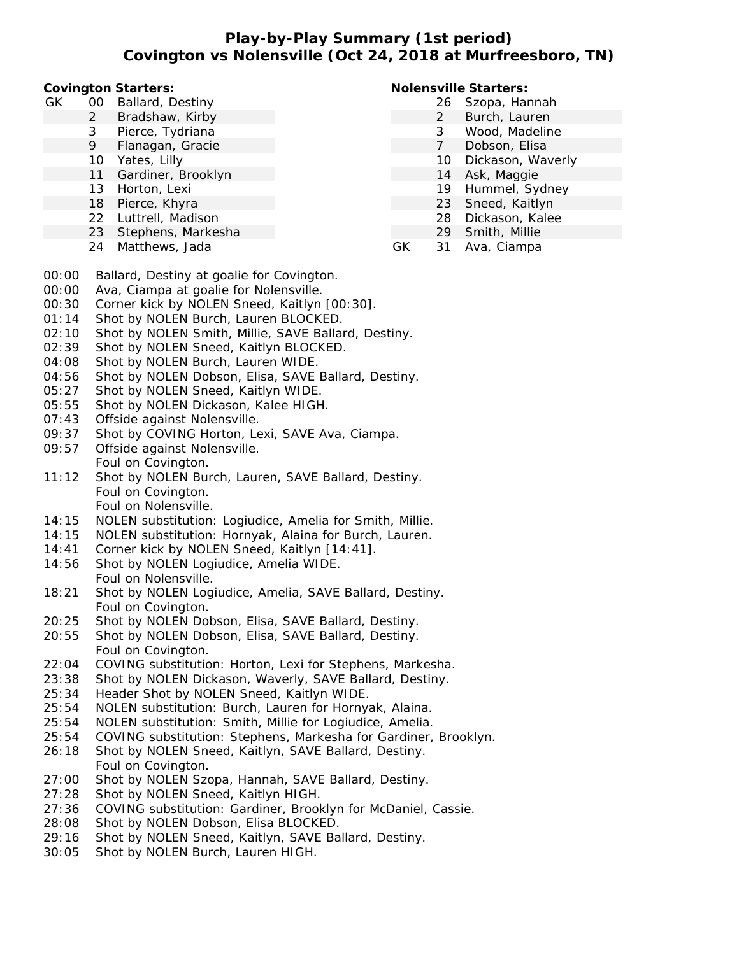**Play-by-Play Summary (1st period) Covington vs Nolensville (Oct 24, 2018 at Murfreesboro, TN)**

**Covington Starters:**

- GK 00 Ballard, Destiny
	- 2 Bradshaw, Kirby
	- 3 Pierce, Tydriana
	- 9 Flanagan, Gracie
	- 10 Yates, Lilly
	- 11 Gardiner, Brooklyn
	- 13 Horton, Lexi
	- 18 Pierce, Khyra
	- 22 Luttrell, Madison
	- 23 Stephens, Markesha
	- 24 Matthews, Jada

## **Nolensville Starters:**

- 26 Szopa, Hannah
- 2 Burch, Lauren
- 3 Wood, Madeline
- 7 Dobson, Elisa
- 10 Dickason, Waverly
- 14 Ask, Maggie
- 19 Hummel, Sydney
- 23 Sneed, Kaitlyn
- 28 Dickason, Kalee
- 29 Smith, Millie
- GK 31 Ava, Ciampa
- 00:00 Ballard, Destiny at goalie for Covington.
- 00:00 Ava, Ciampa at goalie for Nolensville.
- 00:30 Corner kick by NOLEN Sneed, Kaitlyn [00:30].
- 01:14 Shot by NOLEN Burch, Lauren BLOCKED.
- 02:10 Shot by NOLEN Smith, Millie, SAVE Ballard, Destiny.
- 02:39 Shot by NOLEN Sneed, Kaitlyn BLOCKED.
- 04:08 Shot by NOLEN Burch, Lauren WIDE.
- 04:56 Shot by NOLEN Dobson, Elisa, SAVE Ballard, Destiny.
- 05:27 Shot by NOLEN Sneed, Kaitlyn WIDE.
- 05:55 Shot by NOLEN Dickason, Kalee HIGH.
- 07:43 Offside against Nolensville.
- 09:37 Shot by COVING Horton, Lexi, SAVE Ava, Ciampa.
- 09:57 Offside against Nolensville. Foul on Covington.
- 11:12 Shot by NOLEN Burch, Lauren, SAVE Ballard, Destiny. Foul on Covington. Foul on Nolensville.
- 14:15 NOLEN substitution: Logiudice, Amelia for Smith, Millie.
- 14:15 NOLEN substitution: Hornyak, Alaina for Burch, Lauren.
- 14:41 Corner kick by NOLEN Sneed, Kaitlyn [14:41].
- 14:56 Shot by NOLEN Logiudice, Amelia WIDE. Foul on Nolensville.
- 18:21 Shot by NOLEN Logiudice, Amelia, SAVE Ballard, Destiny. Foul on Covington.
- 20:25 Shot by NOLEN Dobson, Elisa, SAVE Ballard, Destiny.
- 20:55 Shot by NOLEN Dobson, Elisa, SAVE Ballard, Destiny. Foul on Covington.
- 22:04 COVING substitution: Horton, Lexi for Stephens, Markesha.
- 23:38 Shot by NOLEN Dickason, Waverly, SAVE Ballard, Destiny.
- 25:34 Header Shot by NOLEN Sneed, Kaitlyn WIDE.
- 25:54 NOLEN substitution: Burch, Lauren for Hornyak, Alaina.
- 25:54 NOLEN substitution: Smith, Millie for Logiudice, Amelia.
- 25:54 COVING substitution: Stephens, Markesha for Gardiner, Brooklyn.
- 26:18 Shot by NOLEN Sneed, Kaitlyn, SAVE Ballard, Destiny. Foul on Covington.
- 27:00 Shot by NOLEN Szopa, Hannah, SAVE Ballard, Destiny.
- 27:28 Shot by NOLEN Sneed, Kaitlyn HIGH.
- 27:36 COVING substitution: Gardiner, Brooklyn for McDaniel, Cassie.
- 28:08 Shot by NOLEN Dobson, Elisa BLOCKED.
- 29:16 Shot by NOLEN Sneed, Kaitlyn, SAVE Ballard, Destiny.
- 30:05 Shot by NOLEN Burch, Lauren HIGH.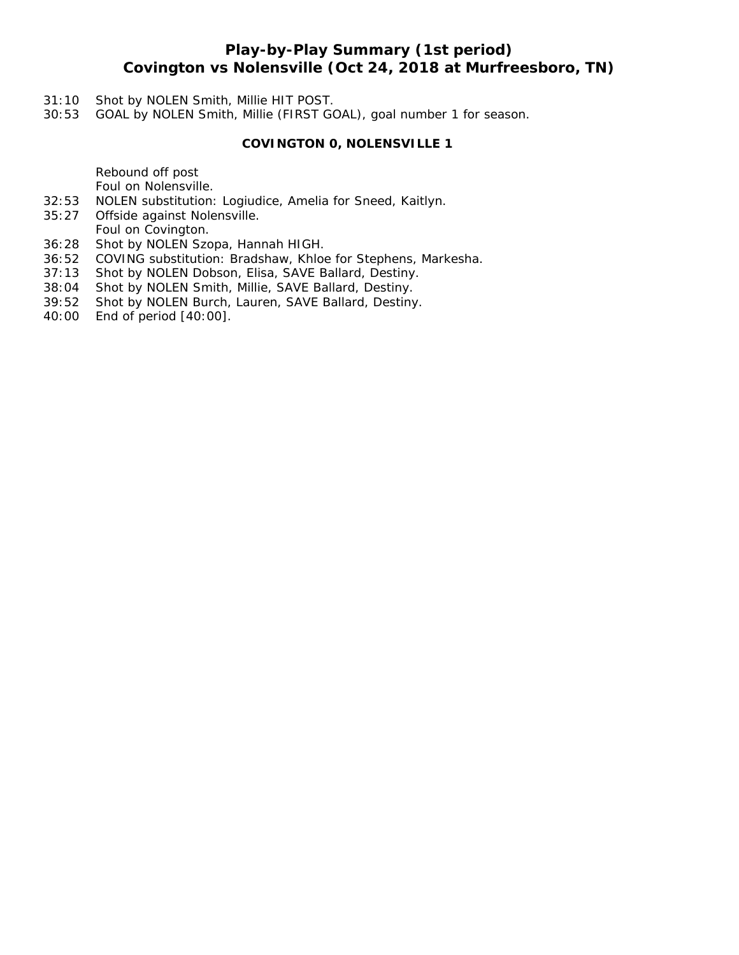## **Play-by-Play Summary (1st period) Covington vs Nolensville (Oct 24, 2018 at Murfreesboro, TN)**

- 31:10 Shot by NOLEN Smith, Millie HIT POST.
- 30:53 GOAL by NOLEN Smith, Millie (FIRST GOAL), goal number 1 for season.

### **COVINGTON 0, NOLENSVILLE 1**

Rebound off post Foul on Nolensville.

- 32:53 NOLEN substitution: Logiudice, Amelia for Sneed, Kaitlyn.
- 35:27 Offside against Nolensville.
- Foul on Covington.
- 36:28 Shot by NOLEN Szopa, Hannah HIGH.
- 36:52 COVING substitution: Bradshaw, Khloe for Stephens, Markesha.
- 37:13 Shot by NOLEN Dobson, Elisa, SAVE Ballard, Destiny.
- 38:04 Shot by NOLEN Smith, Millie, SAVE Ballard, Destiny.
- 39:52 Shot by NOLEN Burch, Lauren, SAVE Ballard, Destiny.
- 40:00 End of period [40:00].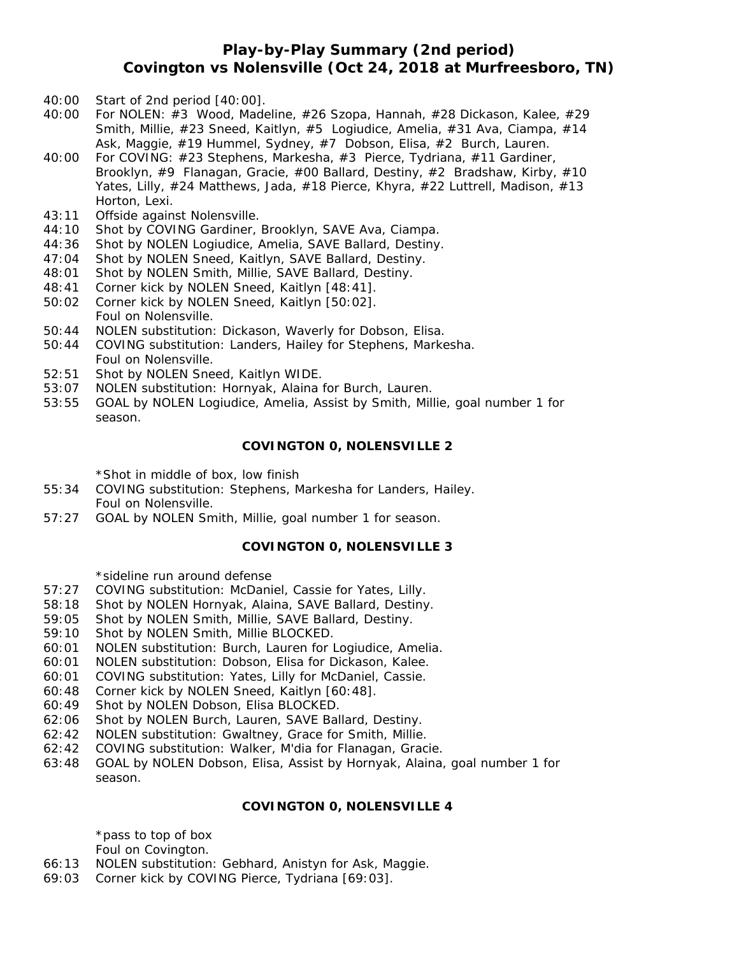## **Play-by-Play Summary (2nd period) Covington vs Nolensville (Oct 24, 2018 at Murfreesboro, TN)**

- 40:00 Start of 2nd period [40:00].
- 40:00 For NOLEN: #3 Wood, Madeline, #26 Szopa, Hannah, #28 Dickason, Kalee, #29 Smith, Millie, #23 Sneed, Kaitlyn, #5 Logiudice, Amelia, #31 Ava, Ciampa, #14 Ask, Maggie, #19 Hummel, Sydney, #7 Dobson, Elisa, #2 Burch, Lauren.
- 40:00 For COVING: #23 Stephens, Markesha, #3 Pierce, Tydriana, #11 Gardiner, Brooklyn, #9 Flanagan, Gracie, #00 Ballard, Destiny, #2 Bradshaw, Kirby, #10 Yates, Lilly, #24 Matthews, Jada, #18 Pierce, Khyra, #22 Luttrell, Madison, #13 Horton, Lexi.
- 43:11 Offside against Nolensville.
- 44:10 Shot by COVING Gardiner, Brooklyn, SAVE Ava, Ciampa.
- 44:36 Shot by NOLEN Logiudice, Amelia, SAVE Ballard, Destiny.
- 47:04 Shot by NOLEN Sneed, Kaitlyn, SAVE Ballard, Destiny.
- 48:01 Shot by NOLEN Smith, Millie, SAVE Ballard, Destiny.
- 48:41 Corner kick by NOLEN Sneed, Kaitlyn [48:41].
- 50:02 Corner kick by NOLEN Sneed, Kaitlyn [50:02]. Foul on Nolensville.
- 50:44 NOLEN substitution: Dickason, Waverly for Dobson, Elisa.
- 50:44 COVING substitution: Landers, Hailey for Stephens, Markesha. Foul on Nolensville.
- 52:51 Shot by NOLEN Sneed, Kaitlyn WIDE.
- 53:07 NOLEN substitution: Hornyak, Alaina for Burch, Lauren.
- 53:55 GOAL by NOLEN Logiudice, Amelia, Assist by Smith, Millie, goal number 1 for season.

#### **COVINGTON 0, NOLENSVILLE 2**

\*Shot in middle of box, low finish

- 55:34 COVING substitution: Stephens, Markesha for Landers, Hailey. Foul on Nolensville.
- 57:27 GOAL by NOLEN Smith, Millie, goal number 1 for season.

## **COVINGTON 0, NOLENSVILLE 3**

\*sideline run around defense

- 57:27 COVING substitution: McDaniel, Cassie for Yates, Lilly.
- 58:18 Shot by NOLEN Hornyak, Alaina, SAVE Ballard, Destiny.
- 59:05 Shot by NOLEN Smith, Millie, SAVE Ballard, Destiny.
- 59:10 Shot by NOLEN Smith, Millie BLOCKED.
- 60:01 NOLEN substitution: Burch, Lauren for Logiudice, Amelia.
- 60:01 NOLEN substitution: Dobson, Elisa for Dickason, Kalee.
- 60:01 COVING substitution: Yates, Lilly for McDaniel, Cassie.
- 60:48 Corner kick by NOLEN Sneed, Kaitlyn [60:48].
- 60:49 Shot by NOLEN Dobson, Elisa BLOCKED.
- 62:06 Shot by NOLEN Burch, Lauren, SAVE Ballard, Destiny.
- 62:42 NOLEN substitution: Gwaltney, Grace for Smith, Millie.
- 62:42 COVING substitution: Walker, M'dia for Flanagan, Gracie.
- 63:48 GOAL by NOLEN Dobson, Elisa, Assist by Hornyak, Alaina, goal number 1 for season.

#### **COVINGTON 0, NOLENSVILLE 4**

\*pass to top of box Foul on Covington.

- 66:13 NOLEN substitution: Gebhard, Anistyn for Ask, Maggie.
- 69:03 Corner kick by COVING Pierce, Tydriana [69:03].